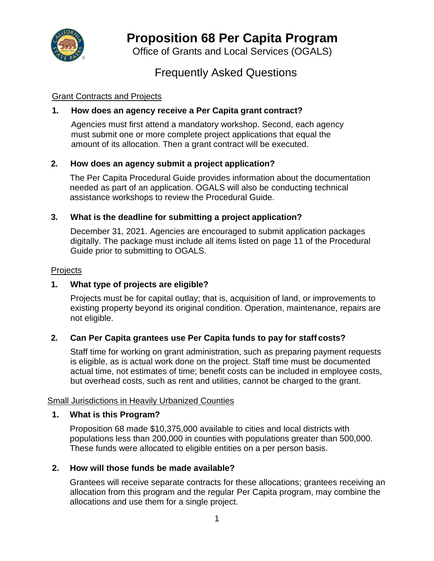

# **Proposition 68 Per Capita Program**

Office of Grants and Local Services (OGALS)

## Frequently Asked Questions

## Grant Contracts and Projects

## **1. How does an agency receive a Per Capita grant contract?**

Agencies must first attend a mandatory workshop. Second, each agency must submit one or more complete project applications that equal the amount of its allocation. Then a grant contract will be executed.

## **2. How does an agency submit a project application?**

The Per Capita Procedural Guide provides information about the documentation needed as part of an application. OGALS will also be conducting technical assistance workshops to review the Procedural Guide.

#### **3. What is the deadline for submitting a project application?**

December 31, 2021. Agencies are encouraged to submit application packages digitally. The package must include all items listed on page 11 of the Procedural Guide prior to submitting to OGALS.

#### **Projects**

## **1. What type of projects are eligible?**

Projects must be for capital outlay; that is, acquisition of land, or improvements to existing property beyond its original condition. Operation, maintenance, repairs are not eligible.

#### **2. Can Per Capita grantees use Per Capita funds to pay for staff costs?**

Staff time for working on grant administration, such as preparing payment requests is eligible, as is actual work done on the project. Staff time must be documented actual time, not estimates of time; benefit costs can be included in employee costs, but overhead costs, such as rent and utilities, cannot be charged to the grant.

#### Small Jurisdictions in Heavily Urbanized Counties

#### **1. What is this Program?**

Proposition 68 made \$10,375,000 available to cities and local districts with populations less than 200,000 in counties with populations greater than 500,000. These funds were allocated to eligible entities on a per person basis.

#### **2. How will those funds be made available?**

Grantees will receive separate contracts for these allocations; grantees receiving an allocation from this program and the regular Per Capita program, may combine the allocations and use them for a single project.